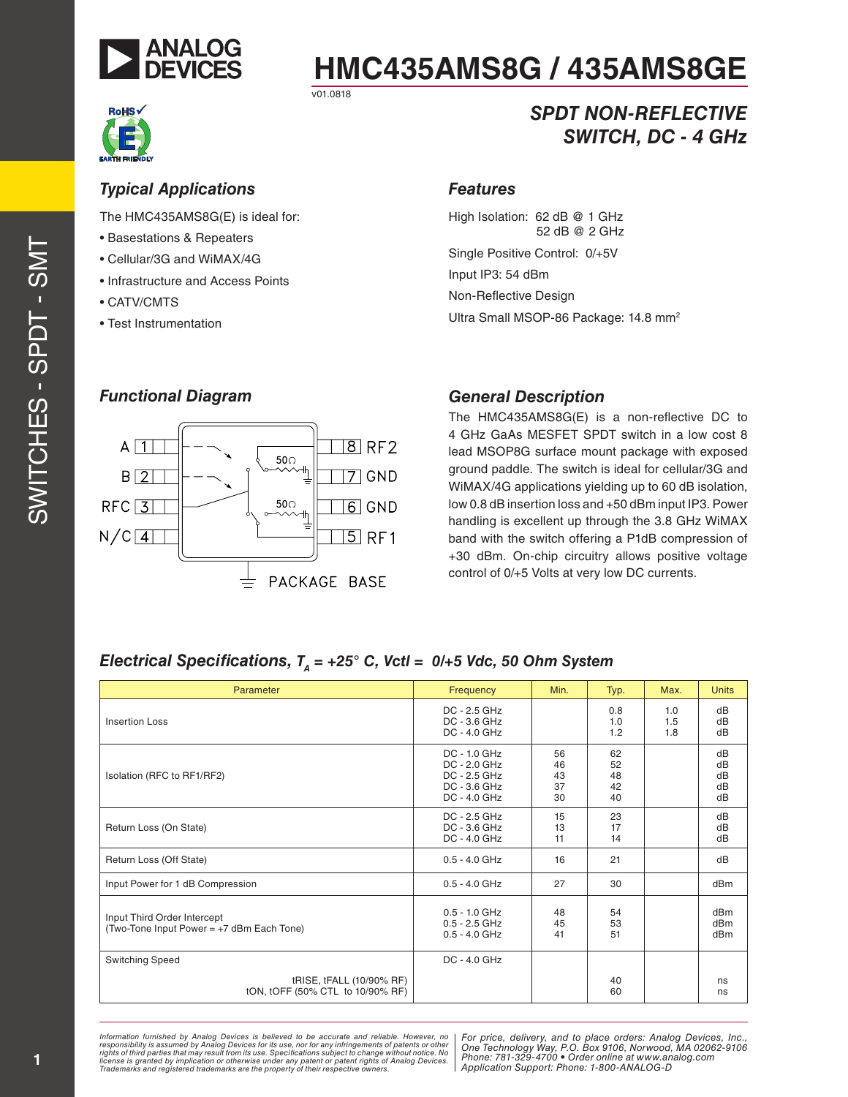

*Typical Applications*

• Basestations & Repeaters • Cellular/3G and WiMAX/4G • Infrastructure and Access Points

• CATV/CMTS

• Test Instrumentation

The HMC435AMS8G(E) is ideal for:

# **HMC435AMS8G / 435AMS8GE**

v01.0818



### *SPDT NON-REFLECTIVE SWITCH, DC - 4 GHz*

#### *Features*

High Isolation: 62 dB @ 1 GHz 52 dB @ 2 GHz

Single Positive Control: 0/+5V

Input IP3: 54 dBm Non-Reflective Design

Ultra Small MSOP-86 Package: 14.8 mm<sup>2</sup>



#### *General Description*

The HMC435AMS8G(E) is a non-reflective DC to 4 GHz GaAs MESFET SPDT switch in a low cost 8 lead MSOP8G surface mount package with exposed ground paddle. The switch is ideal for cellular/3G and WiMAX/4G applications yielding up to 60 dB isolation, low 0.8 dB insertion loss and +50 dBm input IP3. Power handling is excellent up through the 3.8 GHz WiMAX band with the switch offering a P1dB compression of +30 dBm. On-chip circuitry allows positive voltage control of 0/+5 Volts at very low DC currents.

#### *Electrical Specifications,*  $T_A = +25^\circ$  *C, Vctl = 0/+5 Vdc, 50 Ohm System*

| Parameter                                                                | Frequency                                                                        | Min.                       | Typ.                       | Max.              | <b>Units</b>                                          |
|--------------------------------------------------------------------------|----------------------------------------------------------------------------------|----------------------------|----------------------------|-------------------|-------------------------------------------------------|
| <b>Insertion Loss</b>                                                    | $DC - 2.5 GHz$<br>DC - 3.6 GHz<br>DC - 4.0 GHz                                   |                            | 0.8<br>1.0<br>1.2          | 1.0<br>1.5<br>1.8 | dB<br>dB<br>dB                                        |
| Isolation (RFC to RF1/RF2)                                               | $DC - 1.0$ $GHz$<br>DC - 2.0 GHz<br>DC - 2.5 GHz<br>DC - 3.6 GHz<br>DC - 4.0 GHz | 56<br>46<br>43<br>37<br>30 | 62<br>52<br>48<br>42<br>40 |                   | dB<br>dB<br>dB<br>dB<br>dB                            |
| Return Loss (On State)                                                   | DC - 2.5 GHz<br>DC - 3.6 GHz<br>DC - 4.0 GHz                                     | 15<br>13<br>11             | 23<br>17<br>14             |                   | dB<br>dB<br>dB                                        |
| Return Loss (Off State)                                                  | $0.5 - 4.0$ GHz                                                                  | 16                         | 21                         |                   | dB                                                    |
| Input Power for 1 dB Compression                                         | $0.5 - 4.0$ GHz                                                                  | 27                         | 30                         |                   | dB <sub>m</sub>                                       |
| Input Third Order Intercept<br>(Two-Tone Input Power = +7 dBm Each Tone) | $0.5 - 1.0$ GHz<br>$0.5 - 2.5$ GHz<br>$0.5 - 4.0$ GHz                            | 48<br>45<br>41             | 54<br>53<br>51             |                   | dB <sub>m</sub><br>dB <sub>m</sub><br>dB <sub>m</sub> |
| <b>Switching Speed</b>                                                   | $DC - 4.0$ $GHz$                                                                 |                            |                            |                   |                                                       |
| tRISE, tFALL (10/90% RF)<br>tON, tOFF (50% CTL to 10/90% RF)             |                                                                                  |                            | 40<br>60                   |                   | ns<br>ns                                              |

Information furnished by Analog Devices is believed to be accurate and reliable. However, no<br>responsibility is assumed by Analog Devices for its use, nor for any infringements of patents or other<br>rights of third parties th *Trademarks and registered trademarks are the property of their respective owners.* 

*For price, delivery, and to place orders: Analog Devices, Inc., One Technology Way, P.O. Box 9106, Norwood, MA 02062-9106 Phone: 781-329-4700 • Order online at www.analog.com Application Support: Phone: 1-800-ANALOG-D*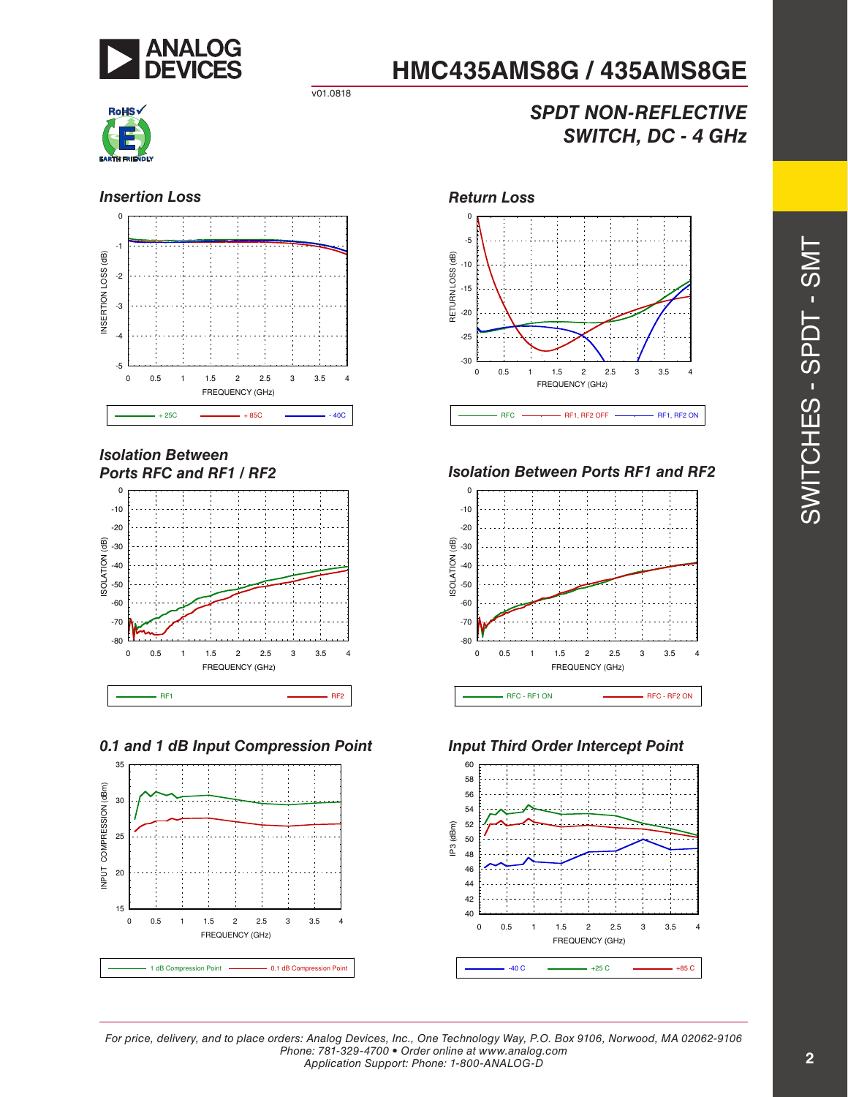

### *SPDT NON-REFLECTIVE SWITCH, DC - 4 GHz*



v01.0818

*Isolation Between Ports RFC and RF1 / RF2*









*Isolation Between Ports RF1 and RF2*





*For price, delivery, and to place orders: Analog Devices, Inc., One Technology Way, P.O. Box 9106, Norwood, MA 02062-9106 Phone: 781-329-4700 • Order online at www.analog.com Application Support: Phone: 1-800-ANALOG-D*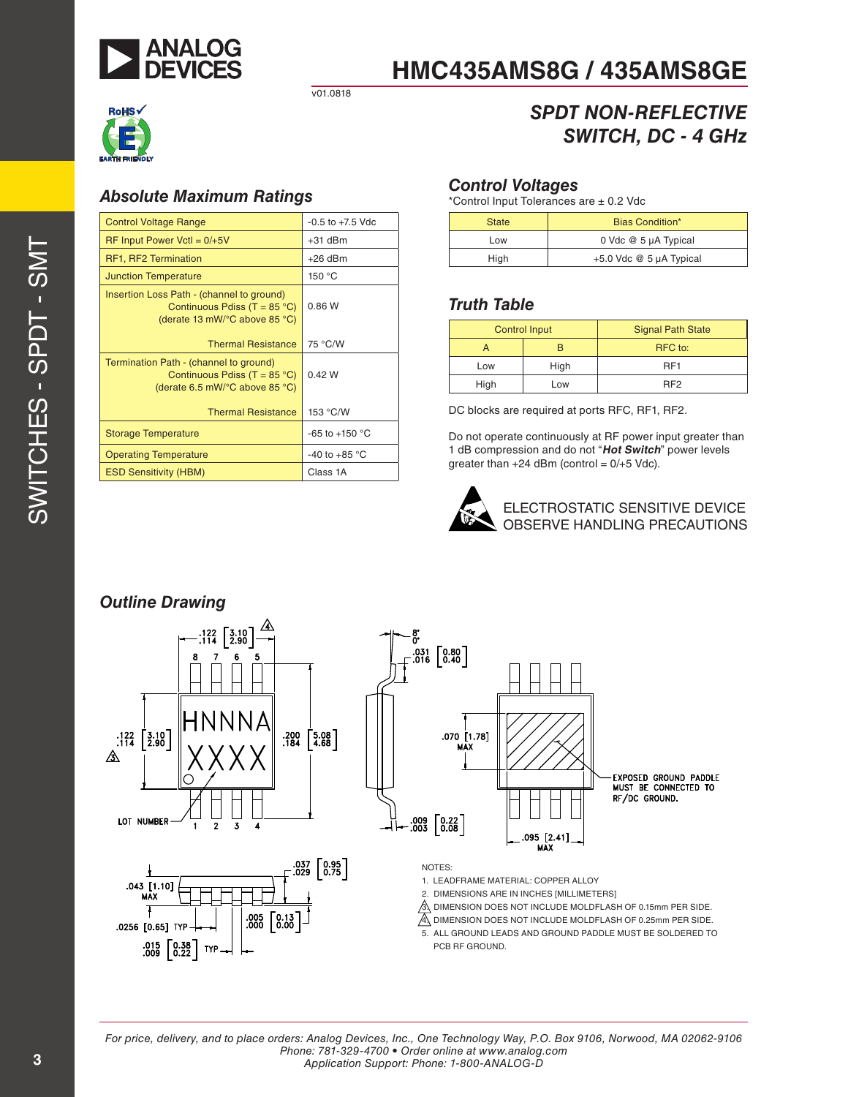

v01.0818



#### *Absolute Maximum Ratings*

| <b>Control Voltage Range</b>                                                                                        | $-0.5$ to $+7.5$ Vdc     |
|---------------------------------------------------------------------------------------------------------------------|--------------------------|
| $RF$ Input Power Vctl = $0/+5V$                                                                                     | $+31$ dBm                |
| RF1, RF2 Termination                                                                                                | $+26$ dBm                |
| <b>Junction Temperature</b>                                                                                         | 150 °C                   |
| Insertion Loss Path - (channel to ground)<br>Continuous Pdiss (T = $85^{\circ}$ C)<br>(derate 13 mW/°C above 85 °C) | 0.86W                    |
| <b>Thermal Resistance</b>                                                                                           | 75 °C/W                  |
| Termination Path - (channel to ground)<br>Continuous Pdiss (T = $85^{\circ}$ C)<br>(derate 6.5 mW/°C above 85 °C)   | 0.42 W                   |
| <b>Thermal Resistance</b>                                                                                           | 153 °C/W                 |
| <b>Storage Temperature</b>                                                                                          | -65 to +150 $^{\circ}$ C |
| <b>Operating Temperature</b>                                                                                        | $-40$ to $+85$ °C        |
| <b>ESD Sensitivity (HBM)</b>                                                                                        | Class 1A                 |

### *SPDT NON-REFLECTIVE SWITCH, DC - 4 GHz*

#### *Control Voltages*

\*Control Input Tolerances are ± 0.2 Vdc

| <b>State</b> | Bias Condition*             |  |
|--------------|-----------------------------|--|
| Low          | 0 Vdc @ 5 µA Typical        |  |
| High         | $+5.0$ Vdc $@$ 5 µA Typical |  |

#### *Truth Table*

| <b>Control Input</b> |      | <b>Signal Path State</b> |
|----------------------|------|--------------------------|
|                      |      | RFC to:                  |
| Low                  | High | RF <sub>1</sub>          |
| High                 | Low  | RF <sub>2</sub>          |

DC blocks are required at ports RFC, RF1, RF2.

Do not operate continuously at RF power input greater than 1 dB compression and do not "**Hot Switch**" power levels greater than  $+24$  dBm (control =  $0/+5$  Vdc).



ELECTROSTATIC SENSITIVE DEVICE OBSERVE HANDLING PRECAUTIONS

### *Outline Drawing*



*For price, delivery, and to place orders: Analog Devices, Inc., One Technology Way, P.O. Box 9106, Norwood, MA 02062-9106 Phone: 781-329-4700 • Order online at www.analog.com Application Support: Phone: 1-800-ANALOG-D*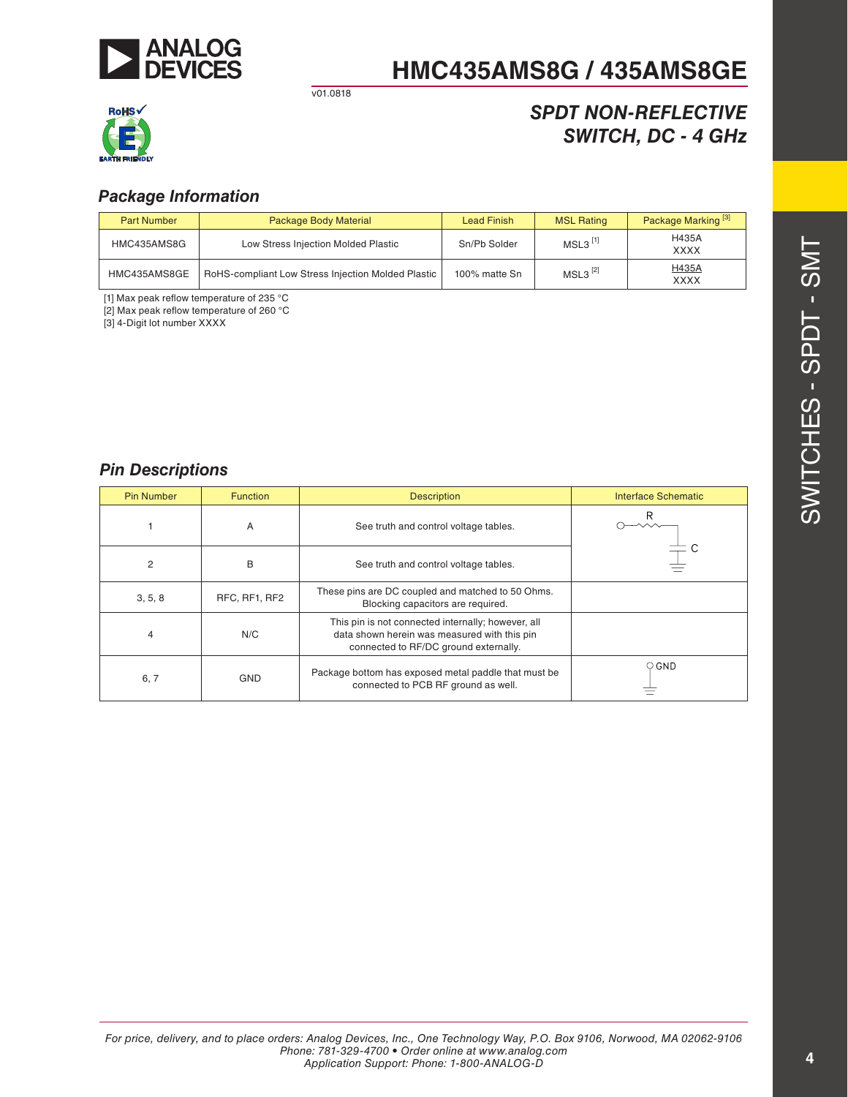

v01.0818



### *SPDT NON-REFLECTIVE SWITCH, DC - 4 GHz*

#### *Package Information*

| <b>Part Number</b> | Package Body Material                              | <b>Lead Finish</b> | <b>MSL Rating</b>     | Package Marking <sup>[3]</sup> |
|--------------------|----------------------------------------------------|--------------------|-----------------------|--------------------------------|
| HMC435AMS8G        | Low Stress Injection Molded Plastic                | Sn/Pb Solder       | $MSL3$ <sup>[1]</sup> | <b>H435A</b><br><b>XXXX</b>    |
| HMC435AMS8GE       | RoHS-compliant Low Stress Injection Molded Plastic | 100% matte Sn      | $MSL3^{[2]}$          | H435A<br><b>XXXX</b>           |

[1] Max peak reflow temperature of 235 °C

[2] Max peak reflow temperature of 260 °C

[3] 4-Digit lot number XXXX

#### *Pin Descriptions*

| <b>Pin Number</b> | <b>Function</b> | <b>Description</b>                                                                                                                          | <b>Interface Schematic</b> |
|-------------------|-----------------|---------------------------------------------------------------------------------------------------------------------------------------------|----------------------------|
|                   | A               | See truth and control voltage tables.                                                                                                       |                            |
| 2                 | B               | See truth and control voltage tables.                                                                                                       |                            |
| 3, 5, 8           | RFC, RF1, RF2   | These pins are DC coupled and matched to 50 Ohms.<br>Blocking capacitors are required.                                                      |                            |
| 4                 | N/C             | This pin is not connected internally; however, all<br>data shown herein was measured with this pin<br>connected to RF/DC ground externally. |                            |
| 6, 7              | <b>GND</b>      | Package bottom has exposed metal paddle that must be<br>connected to PCB RF ground as well.                                                 | $\circ$ GND                |